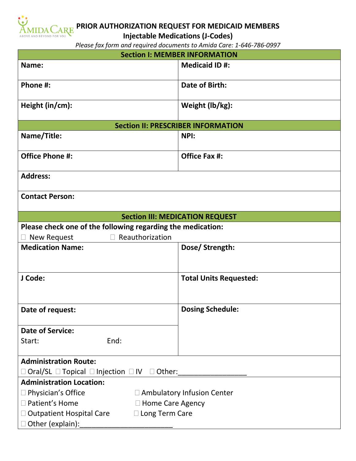

**PRIOR AUTHORIZATION REQUEST FOR MEDICAID MEMBERS**

**Injectable Medications (J-Codes)**

*Please fax form and required documents to Amida Care: 1-646-786-0997*

| <b>Section I: MEMBER INFORMATION</b>                                   |                               |
|------------------------------------------------------------------------|-------------------------------|
| Name:                                                                  | <b>Medicaid ID#:</b>          |
| Phone #:                                                               | Date of Birth:                |
| Height (in/cm):                                                        | Weight (lb/kg):               |
| <b>Section II: PRESCRIBER INFORMATION</b>                              |                               |
| Name/Title:                                                            | NPI:                          |
| <b>Office Phone #:</b>                                                 | <b>Office Fax #:</b>          |
| <b>Address:</b>                                                        |                               |
| <b>Contact Person:</b>                                                 |                               |
| <b>Section III: MEDICATION REQUEST</b>                                 |                               |
| Please check one of the following regarding the medication:            |                               |
| Reauthorization<br>New Request                                         |                               |
| <b>Medication Name:</b>                                                | Dose/Strength:                |
| J Code:                                                                | <b>Total Units Requested:</b> |
| Date of request:                                                       | <b>Dosing Schedule:</b>       |
| <b>Date of Service:</b>                                                |                               |
| End:<br>Start:                                                         |                               |
| <b>Administration Route:</b>                                           |                               |
| $\Box$ Oral/SL $\Box$ Topical $\Box$ Injection $\Box$ IV $\Box$ Other: |                               |
| <b>Administration Location:</b>                                        |                               |
| $\Box$ Physician's Office<br>□ Ambulatory Infusion Center              |                               |
| □ Patient's Home<br>□ Home Care Agency                                 |                               |
| $\Box$ Outpatient Hospital Care<br>$\Box$ Long Term Care               |                               |
| □ Other (explain):                                                     |                               |